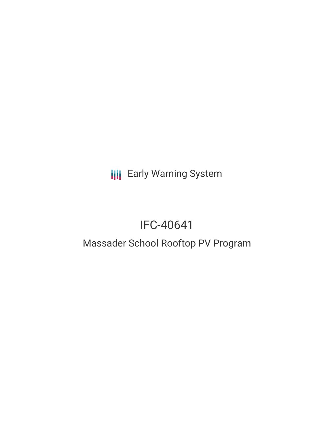# **III** Early Warning System

# IFC-40641

### Massader School Rooftop PV Program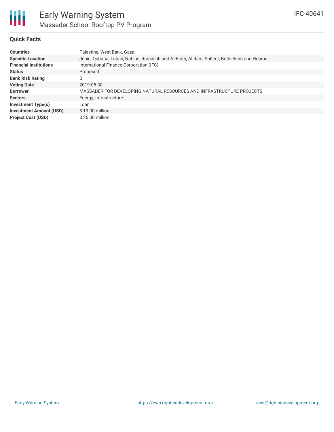

#### **Quick Facts**

| <b>Countries</b>               | Palestine, West Bank, Gaza                                                                   |  |  |  |  |
|--------------------------------|----------------------------------------------------------------------------------------------|--|--|--|--|
| <b>Specific Location</b>       | Jenin, Qabatia, Tubas, Nablus, Ramallah and Al-Bireh, Al Ram, Salfeet, Bethlehem and Hebron. |  |  |  |  |
| <b>Financial Institutions</b>  | International Finance Corporation (IFC)                                                      |  |  |  |  |
| <b>Status</b>                  | Proposed                                                                                     |  |  |  |  |
| <b>Bank Risk Rating</b>        | B                                                                                            |  |  |  |  |
| <b>Voting Date</b>             | 2019-05-30                                                                                   |  |  |  |  |
| <b>Borrower</b>                | MASSADER FOR DEVELOPING NATURAL RESOURCES AND INFRASTRUCTURE PROJECTS                        |  |  |  |  |
| <b>Sectors</b>                 | Energy, Infrastructure                                                                       |  |  |  |  |
| Investment Type(s)             | Loan                                                                                         |  |  |  |  |
| <b>Investment Amount (USD)</b> | $$19.00$ million                                                                             |  |  |  |  |
| <b>Project Cost (USD)</b>      | $$35.00$ million                                                                             |  |  |  |  |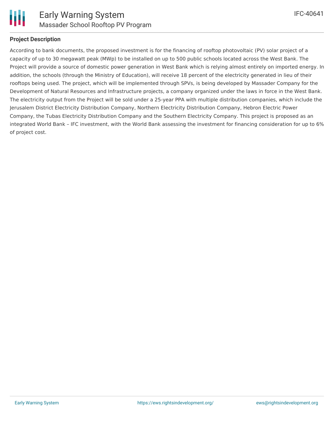

#### **Project Description**

According to bank documents, the proposed investment is for the financing of rooftop photovoltaic (PV) solar project of a capacity of up to 30 megawatt peak (MWp) to be installed on up to 500 public schools located across the West Bank. The Project will provide a source of domestic power generation in West Bank which is relying almost entirely on imported energy. In addition, the schools (through the Ministry of Education), will receive 18 percent of the electricity generated in lieu of their rooftops being used. The project, which will be implemented through SPVs, is being developed by Massader Company for the Development of Natural Resources and Infrastructure projects, a company organized under the laws in force in the West Bank. The electricity output from the Project will be sold under a 25-year PPA with multiple distribution companies, which include the Jerusalem District Electricity Distribution Company, Northern Electricity Distribution Company, Hebron Electric Power Company, the Tubas Electricity Distribution Company and the Southern Electricity Company. This project is proposed as an integrated World Bank – IFC investment, with the World Bank assessing the investment for financing consideration for up to 6% of project cost.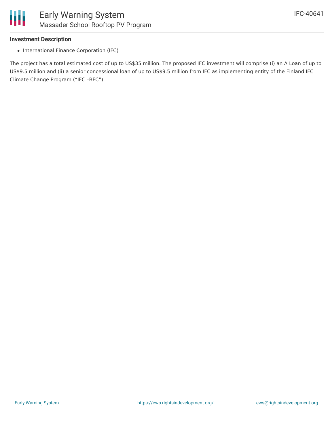

### **Investment Description**

• International Finance Corporation (IFC)

The project has a total estimated cost of up to US\$35 million. The proposed IFC investment will comprise (i) an A Loan of up to US\$9.5 million and (ii) a senior concessional loan of up to US\$9.5 million from IFC as implementing entity of the Finland IFC Climate Change Program ("IFC –BFC").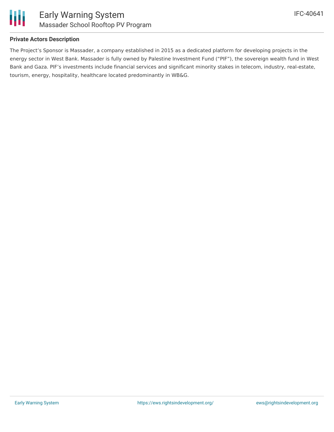

#### **Private Actors Description**

The Project's Sponsor is Massader, a company established in 2015 as a dedicated platform for developing projects in the energy sector in West Bank. Massader is fully owned by Palestine Investment Fund ("PIF"), the sovereign wealth fund in West Bank and Gaza. PIF's investments include financial services and significant minority stakes in telecom, industry, real-estate, tourism, energy, hospitality, healthcare located predominantly in WB&G.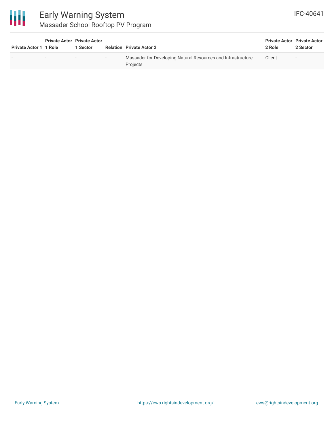

| <b>Private Actor 1 1 Role</b> | <b>Private Actor Private Actor</b> | 1 Sector |        | <b>Relation Private Actor 2</b>                                          | 2 Role | <b>Private Actor Private Actor</b><br>2 Sector |
|-------------------------------|------------------------------------|----------|--------|--------------------------------------------------------------------------|--------|------------------------------------------------|
|                               | $\overline{\phantom{0}}$           | . .      | $\sim$ | Massader for Developing Natural Resources and Infrastructure<br>Projects | Client | $\overline{\phantom{0}}$                       |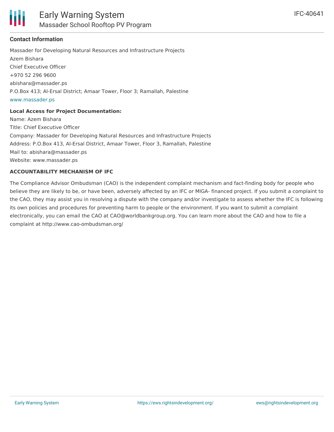

#### **Contact Information**

Massader for Developing Natural Resources and Infrastructure Projects Azem Bishara Chief Executive Officer +970 52 296 9600 abishara@massader.ps P.O.Box 413; Al-Ersal District; Amaar Tower, Floor 3; Ramallah, Palestine [www.massader.ps](http://www.massader.ps)

#### **Local Access for Project Documentation:**

Name: Azem Bishara Title: Chief Executive Officer Company: Massader for Developing Natural Resources and Infrastructure Projects Address: P.O.Box 413, Al-Ersal District, Amaar Tower, Floor 3, Ramallah, Palestine Mail to: abishara@massader.ps Website: www.massader.ps

#### **ACCOUNTABILITY MECHANISM OF IFC**

The Compliance Advisor Ombudsman (CAO) is the independent complaint mechanism and fact-finding body for people who believe they are likely to be, or have been, adversely affected by an IFC or MIGA- financed project. If you submit a complaint to the CAO, they may assist you in resolving a dispute with the company and/or investigate to assess whether the IFC is following its own policies and procedures for preventing harm to people or the environment. If you want to submit a complaint electronically, you can email the CAO at CAO@worldbankgroup.org. You can learn more about the CAO and how to file a complaint at http://www.cao-ombudsman.org/